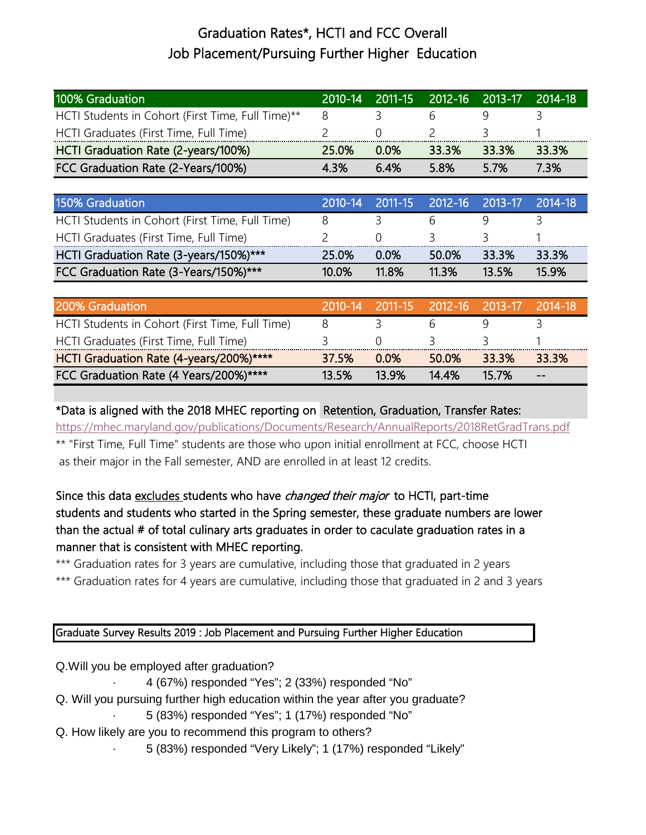## Graduation Rates\*, HCTI and FCC Overall Job Placement/Pursuing Further Higher Education

| 100% Graduation                                   |       |              |       | 2010-14 2011-15 2012-16 2013-17 2014-18 |       |
|---------------------------------------------------|-------|--------------|-------|-----------------------------------------|-------|
| HCTI Students in Cohort (First Time, Full Time)** |       |              |       |                                         |       |
| HCTI Graduates (First Time, Full Time)            |       |              |       |                                         |       |
| HCTI Graduation Rate (2-years/100%)               | 25.0% | <u>በ በ% </u> | 33.3% | 33.3%                                   | 33.3% |
| FCC Graduation Rate (2-Years/100%)                | 43%   | ნ 4%         | 5.8%  | 5.7%                                    | 7 3%  |

| 150% Graduation                                 |       |              |         | 2010-14 2011-15 2012-16 2013-17 2014-18 |       |
|-------------------------------------------------|-------|--------------|---------|-----------------------------------------|-------|
| HCTI Students in Cohort (First Time, Full Time) |       |              |         |                                         |       |
| HCTI Graduates (First Time, Full Time)          |       |              | $\prec$ |                                         |       |
| HCTI Graduation Rate (3-years/150%)***          | 25.0% | <u>በ በ% </u> | 50.0%   | 33 3%                                   | 33.3% |
| FCC Graduation Rate (3-Years/150%)***           | 10.0% | <b>11.8%</b> | 11 3%   | $13.5\%$                                | 15 9% |

| <b>200% Graduation</b>                          |       | 2010-14 2011-15 2012-16 2013-17 2014-18 |       |       |       |
|-------------------------------------------------|-------|-----------------------------------------|-------|-------|-------|
| HCTI Students in Cohort (First Time, Full Time) |       |                                         |       |       |       |
| HCTI Graduates (First Time, Full Time)          |       |                                         |       |       |       |
| HCTI Graduation Rate (4-years/200%)****         | 37.5% | <u>በ በ% </u>                            | 50.0% | 33.3% | 33.3% |
| FCC Graduation Rate (4 Years/200%)****          | 13.5% | 13.9%                                   | 14.4% | 15 7% | $- -$ |

\*Data is aligned with the 2018 MHEC reporting on Retention, Graduation, Transfer Rates:

<https://mhec.maryland.gov/publications/Documents/Research/AnnualReports/2018RetGradTrans.pdf> \*\* "First Time, Full Time" students are those who upon initial enrollment at FCC, choose HCTI as their major in the Fall semester, AND are enrolled in at least 12 credits.

## Since this data excludes students who have *changed their major* to HCTI, part-time students and students who started in the Spring semester, these graduate numbers are lower than the actual # of total culinary arts graduates in order to caculate graduation rates in a manner that is consistent with MHEC reporting.

\*\*\* Graduation rates for 3 years are cumulative, including those that graduated in 2 years

\*\*\* Graduation rates for 4 years are cumulative, including those that graduated in 2 and 3 years

## Graduate Survey Results 2019 : Job Placement and Pursuing Further Higher Education

Q.Will you be employed after graduation?

· 4 (67%) responded "Yes"; 2 (33%) responded "No"

- Q. Will you pursuing further high education within the year after you graduate?
	- · 5 (83%) responded "Yes"; 1 (17%) responded "No"
- Q. How likely are you to recommend this program to others?

· 5 (83%) responded "Very Likely"; 1 (17%) responded "Likely"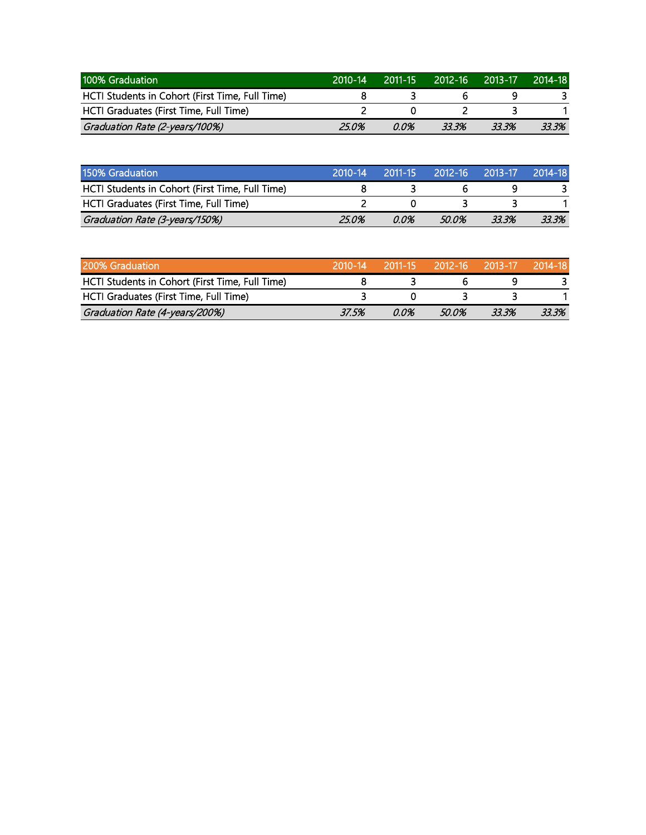| 100% Graduation                                 | 2010-14 | $2011 - 15$ | 2012-16 | 2013-17 | 2014-18 |
|-------------------------------------------------|---------|-------------|---------|---------|---------|
| HCTI Students in Cohort (First Time, Full Time) |         |             |         |         |         |
| HCTI Graduates (First Time, Full Time)          |         |             |         |         |         |
| Graduation Rate (2-years/100%)                  | 25.0%   | 0.0%        | 33.3%   | 33.3%   | 33.3%   |

| 150% Graduation                                 | $2010 - 14$ | $72011 - 15$ |       | 2012-16  2013-17. | 2014-18 |
|-------------------------------------------------|-------------|--------------|-------|-------------------|---------|
| HCTI Students in Cohort (First Time, Full Time) |             |              |       |                   |         |
| HCTI Graduates (First Time, Full Time)          |             |              |       |                   |         |
| Graduation Rate (3-years/150%)                  | 25.0%       | 0.0%         | 50.0% | 33.3%             | 33.3%   |

| 200% Graduation                                 |       |      | 2010-14 2011-15 2012-16 2013-17 |       | $-2014-18$ |
|-------------------------------------------------|-------|------|---------------------------------|-------|------------|
| HCTI Students in Cohort (First Time, Full Time) |       |      |                                 |       |            |
| HCTI Graduates (First Time, Full Time)          |       |      |                                 |       |            |
| Graduation Rate (4-years/200%)                  | 37.5% | 0.0% | 50.0%                           | 33.3% | 33.3%      |